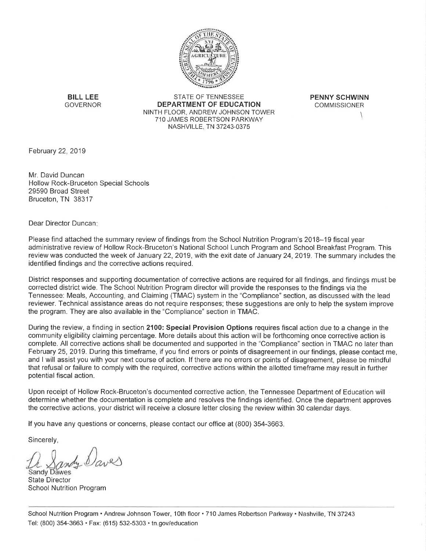

**BILL LEE GOVERNOR** 

STATE OF TENNESSEE DEPARTMENT OF EDUCATION NINTH FLOOR, ANDREW JOHNSON TOWER 710 JAMES ROBERTSON PARKWAY NASHVILLE, TN 37243-0375

**PENNY SCHWINN COMMISSIONER** 

February 22, 2019

Mr. David Duncan **Hollow Rock-Bruceton Special Schools** 29590 Broad Street Bruceton, TN 38317

Dear Director Duncan:

Please find attached the summary review of findings from the School Nutrition Program's 2018–19 fiscal year administrative review of Hollow Rock-Bruceton's National School Lunch Program and School Breakfast Program. This review was conducted the week of January 22, 2019, with the exit date of January 24, 2019. The summary includes the identified findings and the corrective actions required.

District responses and supporting documentation of corrective actions are required for all findings, and findings must be corrected district wide. The School Nutrition Program director will provide the responses to the findings via the Tennessee: Meals, Accounting, and Claiming (TMAC) system in the "Compliance" section, as discussed with the lead reviewer. Technical assistance areas do not require responses; these suggestions are only to help the system improve the program. They are also available in the "Compliance" section in TMAC.

During the review, a finding in section 2100: Special Provision Options requires fiscal action due to a change in the community eligibility claiming percentage. More details about this action will be forthcoming once corrective action is complete. All corrective actions shall be documented and supported in the "Compliance" section in TMAC no later than February 25, 2019. During this timeframe, if you find errors or points of disagreement in our findings, please contact me, and I will assist you with your next course of action. If there are no errors or points of disagreement, please be mindful that refusal or failure to comply with the required, corrective actions within the allotted timeframe may result in further potential fiscal action.

Upon receipt of Hollow Rock-Bruceton's documented corrective action, the Tennessee Department of Education will determine whether the documentation is complete and resolves the findings identified. Once the department approves the corrective actions, your district will receive a closure letter closing the review within 30 calendar days.

If you have any questions or concerns, please contact our office at (800) 354-3663.

Sincerely,

Sandy Dawes **State Director School Nutrition Program**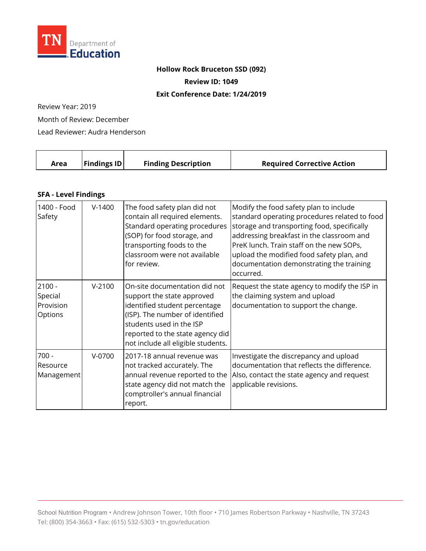

## **Hollow Rock Bruceton SSD (092)**

**Review ID: 1049** 

## **Exit Conference Date: 1/24/2019**

Review Year: 2019

Month of Review: December

Lead Reviewer: Audra Henderson

| Area | <b>Findings ID</b> | <b>Finding Description</b> | <b>Required Corrective Action</b> |
|------|--------------------|----------------------------|-----------------------------------|
|      |                    |                            |                                   |

## **SFA - Level Findings**

| 1400 - Food<br>Safety                       | $V-1400$ | The food safety plan did not<br>contain all required elements.<br>Standard operating procedures<br>(SOP) for food storage, and<br>transporting foods to the<br>classroom were not available<br>for review.                            | Modify the food safety plan to include<br>standard operating procedures related to food<br>storage and transporting food, specifically<br>addressing breakfast in the classroom and<br>PreK lunch. Train staff on the new SOPs,<br>upload the modified food safety plan, and<br>documentation demonstrating the training<br>occurred. |
|---------------------------------------------|----------|---------------------------------------------------------------------------------------------------------------------------------------------------------------------------------------------------------------------------------------|---------------------------------------------------------------------------------------------------------------------------------------------------------------------------------------------------------------------------------------------------------------------------------------------------------------------------------------|
| $2100 -$<br>Special<br>Provision<br>Options | $V-2100$ | On-site documentation did not<br>support the state approved<br>identified student percentage<br>(ISP). The number of identified<br>students used in the ISP<br>reported to the state agency did<br>not include all eligible students. | Request the state agency to modify the ISP in<br>the claiming system and upload<br>documentation to support the change.                                                                                                                                                                                                               |
| $700 -$<br>Resource<br>Management           | $V-0700$ | 2017-18 annual revenue was<br>not tracked accurately. The<br>annual revenue reported to the<br>state agency did not match the<br>comptroller's annual financial<br>report.                                                            | Investigate the discrepancy and upload<br>documentation that reflects the difference.<br>Also, contact the state agency and request<br>applicable revisions.                                                                                                                                                                          |